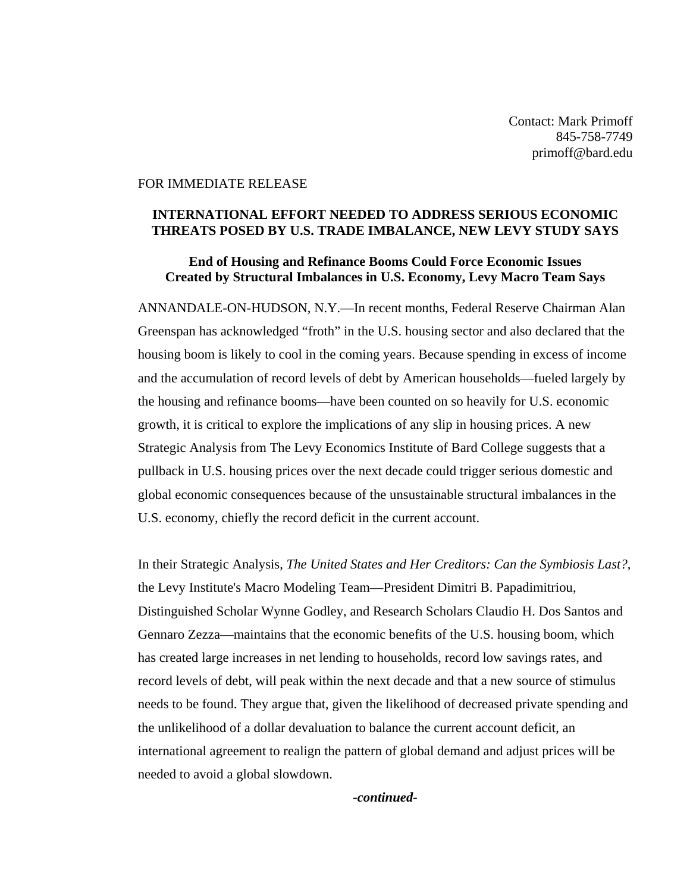Contact: Mark Primoff 845-758-7749 primoff@bard.edu

#### FOR IMMEDIATE RELEASE

## **INTERNATIONAL EFFORT NEEDED TO ADDRESS SERIOUS ECONOMIC THREATS POSED BY U.S. TRADE IMBALANCE, NEW LEVY STUDY SAYS**

# **End of Housing and Refinance Booms Could Force Economic Issues Created by Structural Imbalances in U.S. Economy, Levy Macro Team Says**

ANNANDALE-ON-HUDSON, N.Y.—In recent months, Federal Reserve Chairman Alan Greenspan has acknowledged "froth" in the U.S. housing sector and also declared that the housing boom is likely to cool in the coming years. Because spending in excess of income and the accumulation of record levels of debt by American households—fueled largely by the housing and refinance booms—have been counted on so heavily for U.S. economic growth, it is critical to explore the implications of any slip in housing prices. A new Strategic Analysis from The Levy Economics Institute of Bard College suggests that a pullback in U.S. housing prices over the next decade could trigger serious domestic and global economic consequences because of the unsustainable structural imbalances in the U.S. economy, chiefly the record deficit in the current account.

In their Strategic Analysis, *The United States and Her Creditors: Can the Symbiosis Last?*, the Levy Institute's Macro Modeling Team—President Dimitri B. Papadimitriou, Distinguished Scholar Wynne Godley, and Research Scholars Claudio H. Dos Santos and Gennaro Zezza—maintains that the economic benefits of the U.S. housing boom, which has created large increases in net lending to households, record low savings rates, and record levels of debt, will peak within the next decade and that a new source of stimulus needs to be found. They argue that, given the likelihood of decreased private spending and the unlikelihood of a dollar devaluation to balance the current account deficit, an international agreement to realign the pattern of global demand and adjust prices will be needed to avoid a global slowdown.

*-continued-*